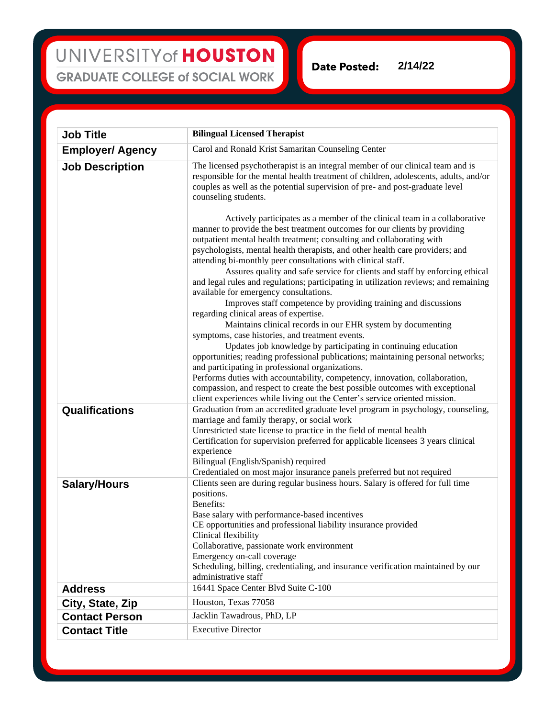## UNIVERSITY of HOUSTON **GRADUATE COLLEGE of SOCIAL WORK**

**Date Posted: 2/14/22**

| <b>Job Title</b>        | <b>Bilingual Licensed Therapist</b>                                                                                                                                                                                                                                                                                                                                                                                                                                                                                                                                                                                                                                                                                                                                                                                                                                                                                                                                                                                                                                                                                                                                                                                                                                                                                                                                                                                                                                                                                                                                         |
|-------------------------|-----------------------------------------------------------------------------------------------------------------------------------------------------------------------------------------------------------------------------------------------------------------------------------------------------------------------------------------------------------------------------------------------------------------------------------------------------------------------------------------------------------------------------------------------------------------------------------------------------------------------------------------------------------------------------------------------------------------------------------------------------------------------------------------------------------------------------------------------------------------------------------------------------------------------------------------------------------------------------------------------------------------------------------------------------------------------------------------------------------------------------------------------------------------------------------------------------------------------------------------------------------------------------------------------------------------------------------------------------------------------------------------------------------------------------------------------------------------------------------------------------------------------------------------------------------------------------|
| <b>Employer/ Agency</b> | Carol and Ronald Krist Samaritan Counseling Center                                                                                                                                                                                                                                                                                                                                                                                                                                                                                                                                                                                                                                                                                                                                                                                                                                                                                                                                                                                                                                                                                                                                                                                                                                                                                                                                                                                                                                                                                                                          |
| <b>Job Description</b>  | The licensed psychotherapist is an integral member of our clinical team and is<br>responsible for the mental health treatment of children, adolescents, adults, and/or<br>couples as well as the potential supervision of pre- and post-graduate level<br>counseling students.<br>Actively participates as a member of the clinical team in a collaborative<br>manner to provide the best treatment outcomes for our clients by providing<br>outpatient mental health treatment; consulting and collaborating with<br>psychologists, mental health therapists, and other health care providers; and<br>attending bi-monthly peer consultations with clinical staff.<br>Assures quality and safe service for clients and staff by enforcing ethical<br>and legal rules and regulations; participating in utilization reviews; and remaining<br>available for emergency consultations.<br>Improves staff competence by providing training and discussions<br>regarding clinical areas of expertise.<br>Maintains clinical records in our EHR system by documenting<br>symptoms, case histories, and treatment events.<br>Updates job knowledge by participating in continuing education<br>opportunities; reading professional publications; maintaining personal networks;<br>and participating in professional organizations.<br>Performs duties with accountability, competency, innovation, collaboration,<br>compassion, and respect to create the best possible outcomes with exceptional<br>client experiences while living out the Center's service oriented mission. |
| Qualifications          | Graduation from an accredited graduate level program in psychology, counseling,<br>marriage and family therapy, or social work<br>Unrestricted state license to practice in the field of mental health<br>Certification for supervision preferred for applicable licensees 3 years clinical<br>experience<br>Bilingual (English/Spanish) required<br>Credentialed on most major insurance panels preferred but not required                                                                                                                                                                                                                                                                                                                                                                                                                                                                                                                                                                                                                                                                                                                                                                                                                                                                                                                                                                                                                                                                                                                                                 |
| <b>Salary/Hours</b>     | Clients seen are during regular business hours. Salary is offered for full time<br>positions.<br>Benefits:<br>Base salary with performance-based incentives<br>CE opportunities and professional liability insurance provided<br>Clinical flexibility<br>Collaborative, passionate work environment<br>Emergency on-call coverage<br>Scheduling, billing, credentialing, and insurance verification maintained by our<br>administrative staff                                                                                                                                                                                                                                                                                                                                                                                                                                                                                                                                                                                                                                                                                                                                                                                                                                                                                                                                                                                                                                                                                                                               |
| <b>Address</b>          | 16441 Space Center Blvd Suite C-100                                                                                                                                                                                                                                                                                                                                                                                                                                                                                                                                                                                                                                                                                                                                                                                                                                                                                                                                                                                                                                                                                                                                                                                                                                                                                                                                                                                                                                                                                                                                         |
| City, State, Zip        | Houston, Texas 77058                                                                                                                                                                                                                                                                                                                                                                                                                                                                                                                                                                                                                                                                                                                                                                                                                                                                                                                                                                                                                                                                                                                                                                                                                                                                                                                                                                                                                                                                                                                                                        |
| <b>Contact Person</b>   | Jacklin Tawadrous, PhD, LP                                                                                                                                                                                                                                                                                                                                                                                                                                                                                                                                                                                                                                                                                                                                                                                                                                                                                                                                                                                                                                                                                                                                                                                                                                                                                                                                                                                                                                                                                                                                                  |
| <b>Contact Title</b>    | <b>Executive Director</b>                                                                                                                                                                                                                                                                                                                                                                                                                                                                                                                                                                                                                                                                                                                                                                                                                                                                                                                                                                                                                                                                                                                                                                                                                                                                                                                                                                                                                                                                                                                                                   |